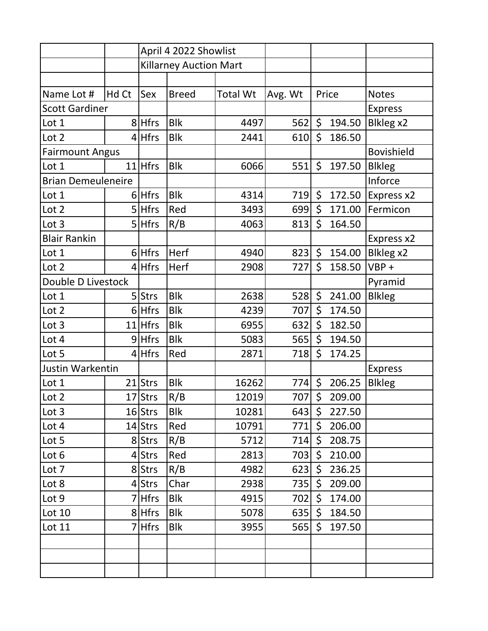|                           |       | April 4 2022 Showlist         |              |                 |         |         |        |                   |
|---------------------------|-------|-------------------------------|--------------|-----------------|---------|---------|--------|-------------------|
|                           |       | <b>Killarney Auction Mart</b> |              |                 |         |         |        |                   |
|                           |       |                               |              |                 |         |         |        |                   |
| Name Lot #                | Hd Ct | Sex                           | <b>Breed</b> | <b>Total Wt</b> | Avg. Wt |         | Price  | <b>Notes</b>      |
| <b>Scott Gardiner</b>     |       |                               |              |                 |         |         |        | <b>Express</b>    |
| Lot 1                     |       | 8 Hfrs                        | <b>Blk</b>   | 4497            | 562     | \$      | 194.50 | Blkleg x2         |
| Lot 2                     |       | $4$ Hfrs                      | <b>Blk</b>   | 2441            | 610     | \$      | 186.50 |                   |
| <b>Fairmount Angus</b>    |       |                               |              |                 |         |         |        | <b>Bovishield</b> |
| Lot 1                     | 11    | <b>Hfrs</b>                   | <b>Blk</b>   | 6066            | 551     | \$      | 197.50 | <b>Blkleg</b>     |
| <b>Brian Demeuleneire</b> |       |                               |              |                 |         |         |        | Inforce           |
| Lot 1                     |       | 6 Hfrs                        | <b>Blk</b>   | 4314            | 719     | \$      | 172.50 | Express x2        |
| Lot 2                     |       | 5 Hfrs                        | Red          | 3493            | 699     | \$      | 171.00 | Fermicon          |
| Lot 3                     |       | $5$ Hfrs                      | R/B          | 4063            | 813     | \$      | 164.50 |                   |
| <b>Blair Rankin</b>       |       |                               |              |                 |         |         |        | Express x2        |
| Lot 1                     |       | $6$ Hfrs                      | Herf         | 4940            | 823     | $\zeta$ | 154.00 | Blkleg x2         |
| Lot 2                     |       | $4$ Hfrs                      | Herf         | 2908            | 727     | \$      | 158.50 | $VBP +$           |
| Double D Livestock        |       |                               |              |                 |         |         |        | Pyramid           |
| Lot 1                     |       | 5 Strs                        | <b>Blk</b>   | 2638            | 528     | \$      | 241.00 | <b>Blkleg</b>     |
| Lot 2                     |       | $6$ Hfrs                      | <b>Blk</b>   | 4239            | 707     | \$      | 174.50 |                   |
| Lot 3                     |       | $11$ Hfrs                     | <b>Blk</b>   | 6955            | 632     | \$      | 182.50 |                   |
| Lot 4                     |       | $9$ Hfrs                      | <b>Blk</b>   | 5083            | 565     | \$      | 194.50 |                   |
| Lot 5                     |       | $4$ Hfrs                      | Red          | 2871            | 718     | \$      | 174.25 |                   |
| Justin Warkentin          |       |                               |              |                 |         |         |        | <b>Express</b>    |
| Lot 1                     |       | $21$ Strs                     | <b>Blk</b>   | 16262           | 774     | \$      | 206.25 | <b>Blkleg</b>     |
| Lot 2                     |       | 17 Strs                       | R/B          | 12019           | 707     | $\zeta$ | 209.00 |                   |
| Lot 3                     |       | $16$ Strs                     | <b>Blk</b>   | 10281           | 643     | $\zeta$ | 227.50 |                   |
| Lot 4                     |       | 14 Strs                       | Red          | 10791           | 771     | \$      | 206.00 |                   |
| Lot 5                     |       | 8 Strs                        | R/B          | 5712            | 714     | \$      | 208.75 |                   |
| Lot 6                     |       | 4 Strs                        | Red          | 2813            | 703     | \$      | 210.00 |                   |
| Lot 7                     |       | 8 Strs                        | R/B          | 4982            | 623     | \$      | 236.25 |                   |
| Lot 8                     |       | 4 Strs                        | Char         | 2938            | 735     | \$      | 209.00 |                   |
| Lot 9                     |       | 7   Hfrs                      | <b>Blk</b>   | 4915            | 702     | \$      | 174.00 |                   |
| Lot 10                    |       | 8 Hfrs                        | Blk          | 5078            | 635     | \$      | 184.50 |                   |
| Lot 11                    |       | <b>Hfrs</b>                   | <b>Blk</b>   | 3955            | 565     | \$      | 197.50 |                   |
|                           |       |                               |              |                 |         |         |        |                   |
|                           |       |                               |              |                 |         |         |        |                   |
|                           |       |                               |              |                 |         |         |        |                   |